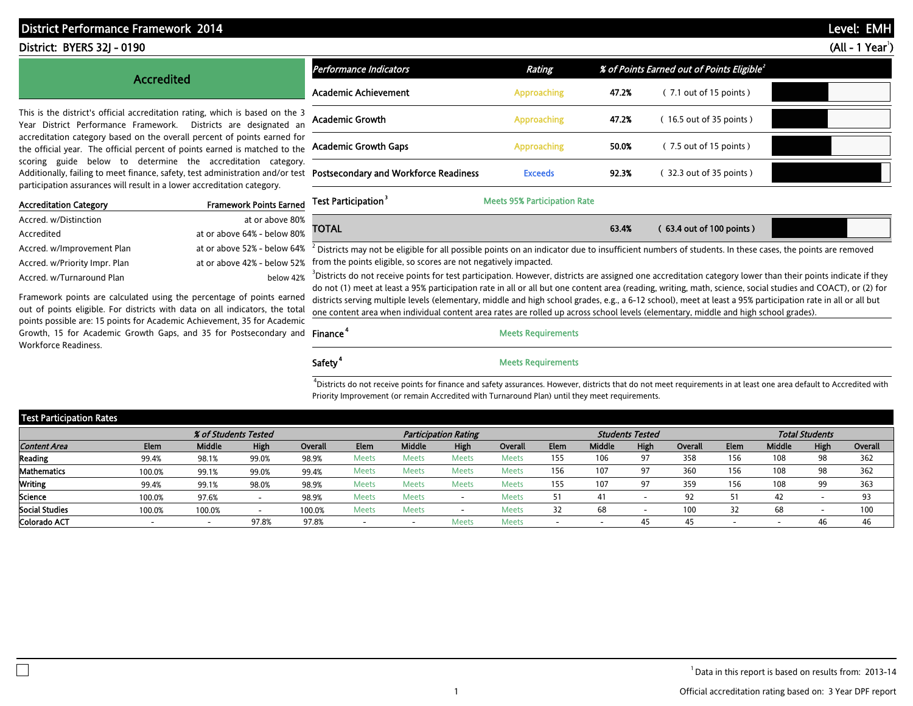# District Performance Framework 2014 - PRELIMINARY DRAFT FOR DRAFT FOR DRAFT FOR DRAFT FOR DRAFT FOR DRAFT FOR D

# District: BYERS 32J - 0190 (All - 1 Year<sup>1</sup>)

## Accredited

This is the district's official accreditation rating, which is based on the 3 Year District Performance Framework. Districts are designated an accreditation category based on the overall percent of points earned for the official year. The official percent of points earned is matched to the scoring guide below to determine the accreditation category. Additionally, failing to meet finance, safety, test administration and/or test participation assurances will result in a lower accreditation category.

| <b>Accreditation Category</b> | <b>Framework Points Earned</b> | ю              |
|-------------------------------|--------------------------------|----------------|
| Accred. w/Distinction         | at or above 80%                |                |
| Accredited                    | at or above 64% - below 80%    |                |
| Accred. w/Improvement Plan    | at or above 52% - below 64%    | $\overline{2}$ |
| Accred. w/Priority Impr. Plan | at or above 42% - below 52% fr |                |
| Accred. w/Turnaround Plan     | below 42% 3D                   |                |

Framework points are calculated using the percentage of points earned out of points eligible. For districts with data on all indicators, the total points possible are: 15 points for Academic Achievement, 35 for Academic Growth, 15 for Academic Growth Gaps, and 35 for Postsecondary and Finance<sup>4</sup> Workforce Readiness.

| Performance Indicators                       | Rating             |       | % of Points Earned out of Points Eligible <sup>2</sup> |  |
|----------------------------------------------|--------------------|-------|--------------------------------------------------------|--|
| Academic Achievement                         | <b>Approaching</b> | 47.2% | $(7.1$ out of 15 points)                               |  |
| <b>Academic Growth</b>                       | <b>Approaching</b> | 47.2% | (16.5 out of 35 points)                                |  |
| <b>Academic Growth Gaps</b>                  | <b>Approaching</b> | 50.0% | $(7.5$ out of 15 points)                               |  |
| <b>Postsecondary and Workforce Readiness</b> | <b>Exceeds</b>     | 92.3% | 32.3 out of 35 points)                                 |  |

Test Participation<sup>3</sup> Meets 95% Participation Rate

| <b>TOTA!</b> | 63.4% | $(63.4$ out of 100 points). |  |
|--------------|-------|-----------------------------|--|
|              |       |                             |  |
|              |       |                             |  |

 $^2$  Districts may not be eligible for all possible points on an indicator due to insufficient numbers of students. In these cases, the points are removed from the points eligible, so scores are not negatively impacted.

 $<sup>3</sup>$ Districts do not receive points for test participation. However, districts are assigned one accreditation category lower than their points indicate if they</sup> do not (1) meet at least a 95% participation rate in all or all but one content area (reading, writing, math, science, social studies and COACT), or (2) for districts serving multiple levels (elementary, middle and high school grades, e.g., a 6-12 school), meet at least a 95% participation rate in all or all but one content area when individual content area rates are rolled up across school levels (elementary, middle and high school grades).

# **Meets Requirements**

Safety<sup>4</sup> Meets Requirements

 $4D$ istricts do not receive points for finance and safety assurances. However, districts that do not meet requirements in at least one area default to Accredited with Priority Improvement (or remain Accredited with Turnaround Plan) until they meet requirements.

| Test Participation Rates |             |                      |                          |         |                          |               |                             |              |      |                          |                        |         |      |        |                       |         |
|--------------------------|-------------|----------------------|--------------------------|---------|--------------------------|---------------|-----------------------------|--------------|------|--------------------------|------------------------|---------|------|--------|-----------------------|---------|
|                          |             | % of Students Tested |                          |         |                          |               | <b>Participation Rating</b> |              |      |                          | <b>Students Tested</b> |         |      |        | <b>Total Students</b> |         |
| <b>Content Area</b>      | <b>Elem</b> | <b>Middle</b>        | High                     | Overall | Elem                     | <b>Middle</b> | High                        | Overall      | Elem | <b>Middle</b>            | High                   | Overall | Elem | Middle | High                  | Overall |
| Reading                  | 99.4%       | 98.1%                | 99.0%                    | 98.9%   | <b>Meets</b>             | <b>Meets</b>  | <b>Meets</b>                | <b>Meets</b> | 155  | 106                      | 97                     | 358     | 156  | 108    | 98                    | 362     |
| Mathematics              | 100.0%      | 99.1%                | 99.0%                    | 99.4%   | <b>Meets</b>             | Meets         | <b>Meets</b>                | <b>Meets</b> | 156  | 107                      | 97                     | 360     | 156  | 108    | 98                    | 362     |
| <b>Writing</b>           | 99.4%       | 99.1%                | 98.0%                    | 98.9%   | <b>Meets</b>             | <b>Meets</b>  | <b>Meets</b>                | <b>Meets</b> | 155  | 107                      | 97                     | 359     | 156  | 108    | 99                    | 363     |
| Science                  | 100.0%      | 97.6%                |                          | 98.9%   | <b>Meets</b>             | <b>Meets</b>  |                             | <b>Meets</b> |      | 41                       | -                      | 92      |      | 42     |                       | 93      |
| Social Studies           | 100.0%      | 100.0%               | $\overline{\phantom{a}}$ | 100.0%  | <b>Meets</b>             | <b>Meets</b>  |                             | <b>Meets</b> | 32   | 68                       |                        | 100     |      |        |                       | 100     |
| Colorado ACT             | -           | $\sim$               | 97.8%                    | 97.8%   | $\overline{\phantom{a}}$ | . .           | Meets                       | <b>Meets</b> |      | $\overline{\phantom{a}}$ | 45                     | 45      | -    |        | 46                    | 46      |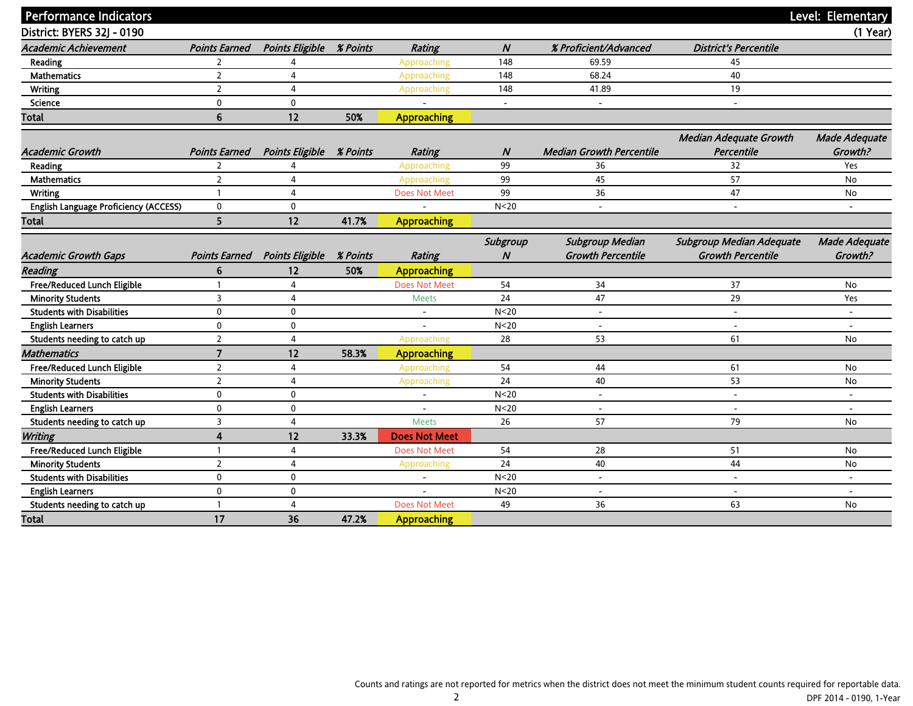| <b>Performance Indicators</b>         |                          |                                 |                 |                          |                  |                                 |                               | Level: Elementary        |
|---------------------------------------|--------------------------|---------------------------------|-----------------|--------------------------|------------------|---------------------------------|-------------------------------|--------------------------|
| District: BYERS 32J - 0190            |                          |                                 |                 |                          |                  |                                 |                               | $(1$ Year)               |
| <b>Academic Achievement</b>           | <b>Points Earned</b>     | Points Eligible % Points        |                 | <b>Rating</b>            | $\boldsymbol{N}$ | % Proficient/Advanced           | <b>District's Percentile</b>  |                          |
| Reading                               | $\overline{2}$           | $\Delta$                        |                 | Approaching              | 148              | 69.59                           | 45                            |                          |
| <b>Mathematics</b>                    | $\overline{2}$           | $\overline{4}$                  |                 | Approaching              | 148              | 68.24                           | 40                            |                          |
| <b>Writing</b>                        | $\overline{2}$           | $\overline{4}$                  |                 | Approaching              | 148              | 41.89                           | 19                            |                          |
| <b>Science</b>                        | $\mathbf{0}$             | $\mathbf{0}$                    |                 |                          |                  | $\overline{\phantom{a}}$        | $\overline{\phantom{a}}$      |                          |
| Total                                 | 6                        | 12                              | 50%             | <b>Approaching</b>       |                  |                                 |                               |                          |
|                                       |                          |                                 |                 |                          |                  |                                 |                               |                          |
|                                       |                          |                                 |                 |                          |                  |                                 | <b>Median Adequate Growth</b> | Made Adequate            |
| <b>Academic Growth</b>                | <b>Points Earned</b>     | <b>Points Eligible % Points</b> |                 | <b>Rating</b>            | N                | <b>Median Growth Percentile</b> | Percentile                    | Growth?                  |
| Reading                               | $\overline{2}$           | 4                               |                 | Approaching              | 99               | 36                              | 32                            | Yes                      |
| <b>Mathematics</b>                    | $\overline{2}$           | 4                               |                 | Approaching              | 99               | 45                              | 57                            | No                       |
| <b>Writing</b>                        | $\mathbf{1}$             | $\overline{4}$                  |                 | Does Not Meet            | 99               | 36                              | 47                            | <b>No</b>                |
| English Language Proficiency (ACCESS) | $\mathbf 0$              | $\mathbf 0$                     |                 |                          | N <sub>20</sub>  | $\overline{\phantom{a}}$        | $\overline{\phantom{a}}$      |                          |
| Total                                 | 5                        | 12                              | 41.7%           | <b>Approaching</b>       |                  |                                 |                               |                          |
|                                       |                          |                                 |                 |                          | Subgroup         | <b>Subgroup Median</b>          | Subgroup Median Adequate      | <b>Made Adequate</b>     |
| <b>Academic Growth Gaps</b>           | <b>Points Earned</b>     | <b>Points Eligible</b>          | <b>% Points</b> | <b>Rating</b>            | N                | <b>Growth Percentile</b>        | <b>Growth Percentile</b>      | Growth?                  |
| <b>Reading</b>                        | 6                        | 12                              | 50%             | <b>Approaching</b>       |                  |                                 |                               |                          |
| Free/Reduced Lunch Eligible           | $\mathbf{1}$             | $\overline{4}$                  |                 | <b>Does Not Meet</b>     | 54               | 34                              | 37                            | <b>No</b>                |
| <b>Minority Students</b>              | 3                        | $\overline{4}$                  |                 | <b>Meets</b>             | 24               | 47                              | 29                            | Yes                      |
| <b>Students with Disabilities</b>     | $\mathbf 0$              | $\mathbf 0$                     |                 | $\overline{\phantom{a}}$ | N <sub>20</sub>  | $\overline{\phantom{a}}$        | $\overline{\phantom{a}}$      |                          |
| <b>English Learners</b>               | $\mathbf{0}$             | $\mathbf 0$                     |                 |                          | N <sub>20</sub>  | $\overline{\phantom{a}}$        | $\overline{a}$                |                          |
| Students needing to catch up          | $\overline{\phantom{a}}$ | 4                               |                 | Approaching              | 28               | 53                              | 61                            | No                       |
| <b>Mathematics</b>                    | $\overline{7}$           | 12                              | 58.3%           | <b>Approaching</b>       |                  |                                 |                               |                          |
| Free/Reduced Lunch Eligible           | $\overline{2}$           | $\overline{4}$                  |                 | Approaching              | 54               | 44                              | 61                            | No                       |
| <b>Minority Students</b>              | $\overline{2}$           | 4                               |                 | Approaching              | 24               | 40                              | 53                            | No                       |
| <b>Students with Disabilities</b>     | $\mathbf 0$              | $\mathbf 0$                     |                 | $\overline{\phantom{a}}$ | N < 20           | $\overline{\phantom{a}}$        | $\overline{\phantom{a}}$      | $\overline{\phantom{a}}$ |
| <b>English Learners</b>               | $\mathbf{0}$             | $\mathbf 0$                     |                 |                          | N <sub>20</sub>  | $\overline{\phantom{a}}$        | $\overline{\phantom{a}}$      | $\overline{\phantom{0}}$ |
| Students needing to catch up          | 3                        | $\overline{4}$                  |                 | <b>Meets</b>             | 26               | 57                              | 79                            | No                       |
| <b>Writing</b>                        | 4                        | 12                              | 33.3%           | <b>Does Not Meet</b>     |                  |                                 |                               |                          |
| Free/Reduced Lunch Eligible           | $\mathbf{1}$             | $\overline{4}$                  |                 | <b>Does Not Meet</b>     | 54               | 28                              | 51                            | No                       |
| <b>Minority Students</b>              | $\overline{2}$           | $\overline{4}$                  |                 | Approaching              | 24               | 40                              | 44                            | No                       |
| <b>Students with Disabilities</b>     | $\mathbf{0}$             | $\mathbf 0$                     |                 | $\overline{a}$           | N <sub>20</sub>  | $\overline{a}$                  | $\overline{\phantom{0}}$      | $\overline{\phantom{a}}$ |
| <b>English Learners</b>               | $\mathbf 0$              | $\mathbf 0$                     |                 |                          | N <sub>20</sub>  | $\overline{\phantom{a}}$        | $\overline{\phantom{a}}$      | $\overline{\phantom{a}}$ |
| Students needing to catch up          | $\mathbf{1}$             | $\overline{4}$                  |                 | <b>Does Not Meet</b>     | 49               | 36                              | 63                            | No                       |
| Total                                 | 17                       | 36                              | 47.2%           | <b>Approaching</b>       |                  |                                 |                               |                          |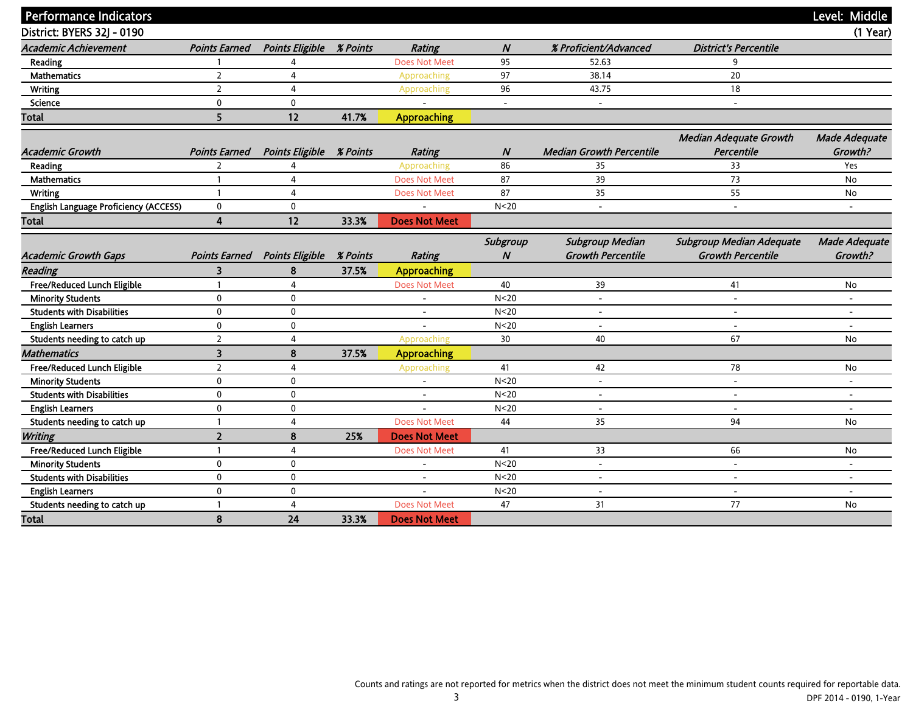|                                       |                         |                                 |          |                          |                 |                                 |                               | Level: Middle            |
|---------------------------------------|-------------------------|---------------------------------|----------|--------------------------|-----------------|---------------------------------|-------------------------------|--------------------------|
| <b>Performance Indicators</b>         |                         |                                 |          |                          |                 |                                 |                               |                          |
| District: BYERS 32J - 0190            |                         |                                 |          |                          |                 |                                 |                               | $(1$ Year)               |
| <b>Academic Achievement</b>           | <b>Points Earned</b>    | <b>Points Eligible</b>          | % Points | <b>Rating</b>            | N               | % Proficient/Advanced           | <b>District's Percentile</b>  |                          |
| <b>Reading</b>                        |                         | 4                               |          | <b>Does Not Meet</b>     | 95              | 52.63                           | 9                             |                          |
| <b>Mathematics</b>                    | $\overline{2}$          | 4                               |          | Approaching              | 97              | 38.14                           | 20                            |                          |
| <b>Writing</b>                        | $\overline{2}$          | $\overline{4}$                  |          | Approaching              | 96              | 43.75                           | 18                            |                          |
| <b>Science</b>                        | $\mathbf{0}$            | $\mathbf 0$                     |          |                          |                 | $\overline{a}$                  | $\overline{\phantom{a}}$      |                          |
| <b>Total</b>                          | 5                       | 12                              | 41.7%    | <b>Approaching</b>       |                 |                                 |                               |                          |
|                                       |                         |                                 |          |                          |                 |                                 | <b>Median Adequate Growth</b> | <b>Made Adequate</b>     |
| <b>Academic Growth</b>                | <b>Points Earned</b>    | <b>Points Eligible % Points</b> |          | <b>Rating</b>            | N               | <b>Median Growth Percentile</b> | Percentile                    | Growth?                  |
| Reading                               | $\overline{2}$          | 4                               |          | Approaching              | 86              | 35                              | 33                            | Yes                      |
| <b>Mathematics</b>                    | $\mathbf{1}$            | 4                               |          | <b>Does Not Meet</b>     | 87              | 39                              | 73                            | <b>No</b>                |
| Writing                               | $\mathbf{1}$            | $\overline{4}$                  |          | <b>Does Not Meet</b>     | 87              | 35                              | 55                            | No                       |
| English Language Proficiency (ACCESS) | $\mathbf{0}$            | $\mathbf 0$                     |          |                          | N <sub>20</sub> | $\overline{\phantom{a}}$        | $\overline{\phantom{a}}$      |                          |
|                                       | $\overline{\mathbf{4}}$ | 12                              | 33.3%    | <b>Does Not Meet</b>     |                 |                                 |                               |                          |
| Total                                 |                         |                                 |          |                          |                 |                                 |                               |                          |
|                                       |                         |                                 |          |                          | Subgroup        | <b>Subgroup Median</b>          | Subgroup Median Adequate      | <b>Made Adequate</b>     |
| <b>Academic Growth Gaps</b>           | <b>Points Earned</b>    | <b>Points Eligible</b>          | % Points | <b>Rating</b>            | N               | <b>Growth Percentile</b>        | <b>Growth Percentile</b>      | Growth?                  |
| <b>Reading</b>                        | 3                       | 8                               | 37.5%    | <b>Approaching</b>       |                 |                                 |                               |                          |
| Free/Reduced Lunch Eligible           | $\mathbf{1}$            | $\overline{4}$                  |          | <b>Does Not Meet</b>     | 40              | 39                              | 41                            | No                       |
| <b>Minority Students</b>              | $\mathbf{0}$            | $\mathbf 0$                     |          |                          | N <sub>20</sub> | $\overline{\phantom{a}}$        | $\overline{\phantom{a}}$      |                          |
| <b>Students with Disabilities</b>     | $\mathbf 0$             | $\pmb{0}$                       |          | $\overline{\phantom{a}}$ | N < 20          | $\overline{\phantom{a}}$        | $\overline{a}$                | $\overline{\phantom{a}}$ |
| <b>English Learners</b>               | $\mathbf{0}$            | $\mathbf 0$                     |          |                          | N <sub>20</sub> |                                 |                               |                          |
| Students needing to catch up          | $\overline{2}$          | 4                               |          | Approaching              | 30              | 40                              | 67                            | No                       |
| <b>Mathematics</b>                    | $\overline{\mathbf{3}}$ | 8                               | 37.5%    | <b>Approaching</b>       |                 |                                 |                               |                          |
| Free/Reduced Lunch Eligible           | $\overline{2}$          | $\overline{4}$                  |          | Approaching              | 41              | 42                              | 78                            | No                       |
| <b>Minority Students</b>              | $\mathbf 0$             | $\mathbf 0$                     |          |                          | N <sub>20</sub> | $\overline{a}$                  | $\overline{\phantom{a}}$      | $\overline{a}$           |
| <b>Students with Disabilities</b>     | $\mathbf{0}$            | $\mathbf 0$                     |          | $\overline{\phantom{a}}$ | N <sub>20</sub> | $\overline{\phantom{a}}$        | $\overline{\phantom{a}}$      | $\overline{\phantom{0}}$ |
| <b>English Learners</b>               | $\mathbf 0$             | $\mathbf 0$                     |          |                          | N <sub>20</sub> | $\overline{a}$                  | $\overline{\phantom{a}}$      | $\overline{\phantom{a}}$ |
| Students needing to catch up          | $\mathbf{1}$            | $\overline{4}$                  |          | <b>Does Not Meet</b>     | 44              | 35                              | 94                            | No                       |
| Writing                               | $\overline{2}$          | 8                               | 25%      | <b>Does Not Meet</b>     |                 |                                 |                               |                          |
| Free/Reduced Lunch Eligible           | $\mathbf{1}$            | $\overline{4}$                  |          | <b>Does Not Meet</b>     | 41              | 33                              | 66                            | No                       |
| <b>Minority Students</b>              | $\mathbf{0}$            | $\mathbf 0$                     |          |                          | N <sub>20</sub> | $\overline{\phantom{a}}$        | $\overline{\phantom{a}}$      |                          |
| <b>Students with Disabilities</b>     | $\mathbf 0$             | $\mathbf 0$                     |          | $\overline{\phantom{a}}$ | N <sub>20</sub> | $\overline{a}$                  | $\overline{a}$                | $\overline{\phantom{a}}$ |
| <b>English Learners</b>               | $\mathbf{0}$            | $\mathbf 0$                     |          |                          | N <sub>20</sub> | $\overline{a}$                  | $\overline{\phantom{0}}$      | $\overline{\phantom{0}}$ |
| Students needing to catch up          | $\mathbf{1}$            | $\overline{4}$                  |          | <b>Does Not Meet</b>     | 47              | 31                              | 77                            | No                       |
| <b>Total</b>                          | 8                       | 24                              | 33.3%    | <b>Does Not Meet</b>     |                 |                                 |                               |                          |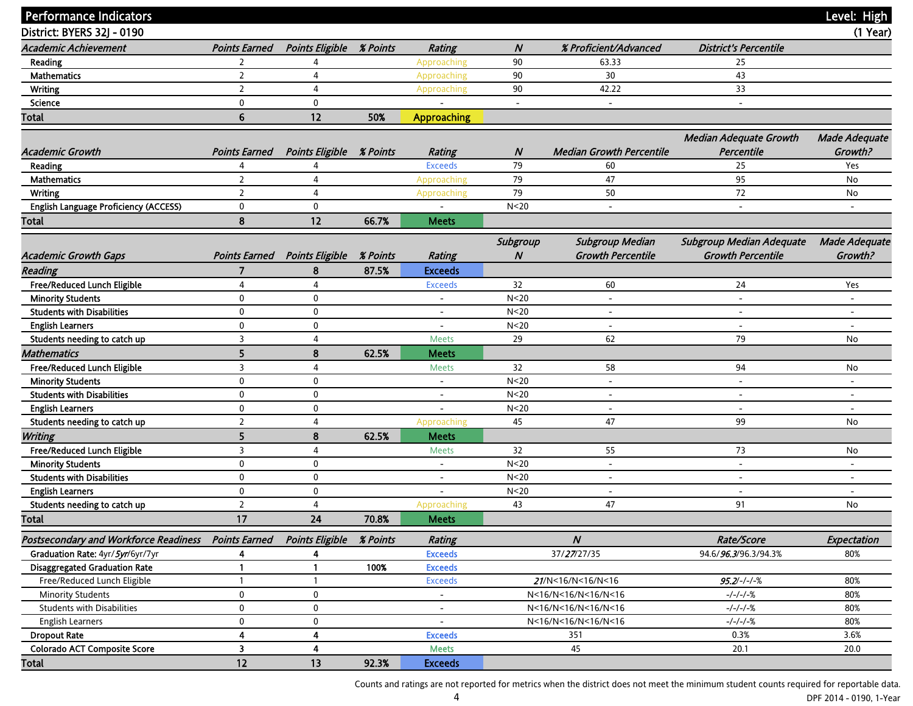| <b>Performance Indicators</b>                |                         |                                 |                 |                          |                          |                                 |                                             | Level: High              |
|----------------------------------------------|-------------------------|---------------------------------|-----------------|--------------------------|--------------------------|---------------------------------|---------------------------------------------|--------------------------|
| District: BYERS 32J - 0190                   |                         |                                 |                 |                          |                          |                                 |                                             | $(1$ Year)               |
| <b>Academic Achievement</b>                  | <b>Points Earned</b>    | <b>Points Eligible</b>          | <b>% Points</b> | <b>Rating</b>            | $\boldsymbol{N}$         | % Proficient/Advanced           | <b>District's Percentile</b>                |                          |
| Reading                                      | 2                       | 4                               |                 | Approaching              | 90                       | 63.33                           | 25                                          |                          |
| <b>Mathematics</b>                           | $\overline{2}$          | 4                               |                 | Approaching              | 90                       | 30                              | 43                                          |                          |
| <b>Writing</b>                               | $\overline{2}$          | 4                               |                 | Approaching              | 90                       | 42.22                           | 33                                          |                          |
| Science                                      | $\mathbf 0$             | $\mathbf 0$                     |                 |                          | $\overline{\phantom{a}}$ | $\overline{\phantom{a}}$        | $\overline{\phantom{a}}$                    |                          |
| <b>Total</b>                                 | 6                       | 12                              | 50%             | <b>Approaching</b>       |                          |                                 |                                             |                          |
|                                              |                         |                                 |                 |                          |                          |                                 |                                             |                          |
| <b>Academic Growth</b>                       | <b>Points Earned</b>    | <b>Points Eligible % Points</b> |                 | <b>Rating</b>            | N                        | <b>Median Growth Percentile</b> | <b>Median Adequate Growth</b><br>Percentile | Made Adequate<br>Growth? |
| Reading                                      | 4                       | 4                               |                 | <b>Exceeds</b>           | 79                       | 60                              | 25                                          | Yes                      |
| <b>Mathematics</b>                           | $\overline{2}$          | 4                               |                 | Approaching              | 79                       | 47                              | 95                                          | No                       |
| <b>Writing</b>                               | $\overline{2}$          | 4                               |                 | Approaching              | 79                       | 50                              | 72                                          | No                       |
| English Language Proficiency (ACCESS)        | 0                       | $\mathbf 0$                     |                 |                          | N <sub>20</sub>          | $\overline{\phantom{a}}$        | $\overline{\phantom{a}}$                    | $\overline{\phantom{a}}$ |
| Total                                        | 8                       | 12                              | 66.7%           | <b>Meets</b>             |                          |                                 |                                             |                          |
|                                              |                         |                                 |                 |                          | Subgroup                 | <b>Subgroup Median</b>          | Subgroup Median Adequate                    | <b>Made Adequate</b>     |
| <b>Academic Growth Gaps</b>                  | <b>Points Earned</b>    | <b>Points Eligible</b>          | <b>% Points</b> | <b>Rating</b>            | N                        | <b>Growth Percentile</b>        | <b>Growth Percentile</b>                    | Growth?                  |
| <b>Reading</b>                               | 7                       | 8                               | 87.5%           | <b>Exceeds</b>           |                          |                                 |                                             |                          |
| Free/Reduced Lunch Eligible                  | 4                       | 4                               |                 | <b>Exceeds</b>           | 32                       | 60                              | 24                                          | Yes                      |
| <b>Minority Students</b>                     | $\mathbf 0$             | 0                               |                 |                          | N <sub>20</sub>          | $\overline{\phantom{a}}$        |                                             |                          |
| <b>Students with Disabilities</b>            | 0                       | $\mathbf 0$                     |                 | $\overline{\phantom{a}}$ | N <sub>20</sub>          | $\overline{\phantom{a}}$        | $\overline{\phantom{a}}$                    | $\overline{\phantom{a}}$ |
| <b>English Learners</b>                      | 0                       | 0                               |                 | $\overline{\phantom{a}}$ | N <sub>20</sub>          | $\overline{\phantom{a}}$        | $\overline{\phantom{a}}$                    |                          |
| Students needing to catch up                 | 3                       | 4                               |                 | <b>Meets</b>             | 29                       | 62                              | 79                                          | No                       |
| <b>Mathematics</b>                           | 5                       | 8                               | 62.5%           | <b>Meets</b>             |                          |                                 |                                             |                          |
| Free/Reduced Lunch Eligible                  | 3                       | 4                               |                 | <b>Meets</b>             | 32                       | 58                              | 94                                          | No                       |
| <b>Minority Students</b>                     | 0                       | $\mathbf 0$                     |                 | $\overline{\phantom{a}}$ | N <sub>20</sub>          | $\overline{\phantom{0}}$        |                                             |                          |
| <b>Students with Disabilities</b>            | 0                       | 0                               |                 | $\overline{\phantom{a}}$ | N <sub>20</sub>          | $\overline{\phantom{a}}$        |                                             | $\overline{\phantom{a}}$ |
| <b>English Learners</b>                      | 0                       | 0                               |                 |                          | N <sub>20</sub>          | $\overline{\phantom{a}}$        | $\overline{\phantom{a}}$                    |                          |
| Students needing to catch up                 | $\overline{2}$          | 4                               |                 | Approaching              | 45                       | 47                              | 99                                          | No                       |
| Writing                                      | 5                       | 8                               | 62.5%           | <b>Meets</b>             |                          |                                 |                                             |                          |
| Free/Reduced Lunch Eligible                  | 3                       | 4                               |                 | <b>Meets</b>             | 32                       | 55                              | 73                                          | No                       |
| <b>Minority Students</b>                     | 0                       | 0                               |                 | $\overline{\phantom{a}}$ | N <sub>20</sub>          | $\blacksquare$                  | $\overline{\phantom{a}}$                    | $\overline{\phantom{a}}$ |
| <b>Students with Disabilities</b>            | 0                       | $\mathbf 0$                     |                 | $\overline{\phantom{a}}$ | N <sub>20</sub>          | $\overline{\phantom{a}}$        |                                             | $\overline{a}$           |
| <b>English Learners</b>                      | 0                       | 0                               |                 |                          | N <sub>20</sub>          | $\overline{\phantom{a}}$        | $\overline{\phantom{a}}$                    | $\overline{a}$           |
| Students needing to catch up                 | $\overline{2}$          | 4                               |                 | Approaching              | 43                       | 47                              | 91                                          | No                       |
| Total                                        | 17                      | $24\,$                          | 70.8%           | <b>Meets</b>             |                          |                                 |                                             |                          |
| <b>Postsecondary and Workforce Readiness</b> | <b>Points Earned</b>    | <b>Points Eligible</b>          | % Points        | <b>Rating</b>            |                          | $\pmb N$                        | Rate/Score                                  | Expectation              |
| Graduation Rate: 4yr/5yr/6yr/7yr             | 4                       | 4                               |                 | <b>Exceeds</b>           |                          | 37/27/27/35                     | 94.6/96.3/96.3/94.3%                        | 80%                      |
| <b>Disaggregated Graduation Rate</b>         | -1                      | 1                               | 100%            | <b>Exceeds</b>           |                          |                                 |                                             |                          |
| Free/Reduced Lunch Eligible                  |                         |                                 |                 | <b>Exceeds</b>           |                          | 21/N<16/N<16/N<16               | $95.2/-/-/-%$                               | 80%                      |
| <b>Minority Students</b>                     | 0                       | 0                               |                 | $\overline{\phantom{a}}$ |                          | N<16/N<16/N<16/N<16             | $-/-/-/-%$                                  | 80%                      |
| <b>Students with Disabilities</b>            | 0                       | 0                               |                 | $\overline{\phantom{a}}$ |                          | N<16/N<16/N<16/N<16             | $-/-/-/-%$                                  | 80%                      |
| <b>English Learners</b>                      | 0                       | 0                               |                 | $\overline{\phantom{a}}$ |                          | N<16/N<16/N<16/N<16             | $-/-/-/-%$                                  | 80%                      |
| <b>Dropout Rate</b>                          | 4                       | 4                               |                 | <b>Exceeds</b>           |                          | 351                             | 0.3%                                        | 3.6%                     |
| <b>Colorado ACT Composite Score</b>          | $\overline{\mathbf{3}}$ | 4                               |                 | <b>Meets</b>             |                          | 45                              | 20.1                                        | 20.0                     |
| Total                                        | 12                      | 13                              | 92.3%           | <b>Exceeds</b>           |                          |                                 |                                             |                          |

Counts and ratings are not reported for metrics when the district does not meet the minimum student counts required for reportable data.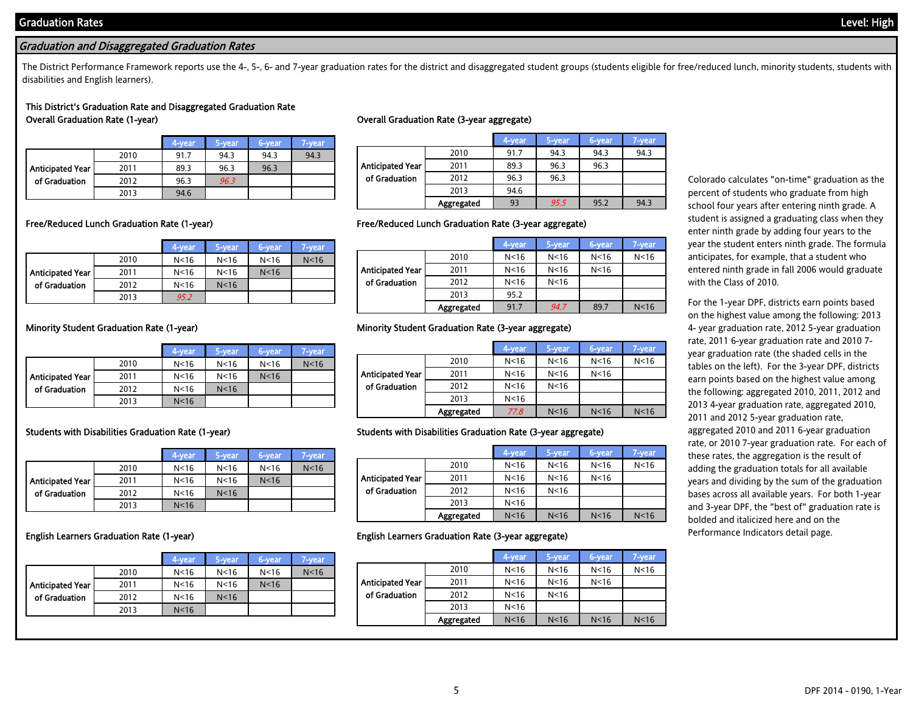# Graduation and Disaggregated Graduation Rates

The District Performance Framework reports use the 4-, 5-, 6- and 7-year graduation rates for the district and disaggregated student groups (students eligible for free/reduced lunch, minority students, students with disabilities and English learners).

## This District's Graduation Rate and Disaggregated Graduation Rate Overall Graduation Rate (1-year) Overall Graduation Rate (3-year aggregate)

|                  |      | 4-vear | 5-vear | 6-year | 7-vear |
|------------------|------|--------|--------|--------|--------|
|                  | 2010 | 91.7   | 94.3   | 94.3   | 94.3   |
| Anticipated Year | 2011 | 89.3   | 96.3   | 96.3   |        |
| of Graduation    | 2012 | 96.3   | 96.3   |        |        |
|                  | 2013 | 94.6   |        |        |        |

|                  |                   | 4-year | 5-year | 6-year | 7-year |
|------------------|-------------------|--------|--------|--------|--------|
|                  | 2010              | 91.7   | 94.3   | 94.3   | 94.3   |
| Anticipated Year | 2011              | 89.3   | 96.3   | 96.3   |        |
| of Graduation    | 2012              | 96.3   | 96.3   |        |        |
|                  | 2013              | 94.6   |        |        |        |
|                  | <b>Aggregated</b> | 93     | 95.5   | 95.2   | 94.3   |

|                  |      | 4-year          | 5-year          | 6-year          | 7-vear          |
|------------------|------|-----------------|-----------------|-----------------|-----------------|
|                  | 2010 | N <sub>16</sub> | N <sub>16</sub> | N <sub>16</sub> | N <sub>16</sub> |
| Anticipated Year | 2011 | N <sub>16</sub> | N <sub>16</sub> | N <sub>16</sub> |                 |
| of Graduation    | 2012 | N <sub>16</sub> | N <sub>16</sub> |                 |                 |
|                  | 2013 | 95.2            |                 |                 |                 |

## Free/Reduced Lunch Graduation Rate (1-year) Free/Reduced Lunch Graduation Rate (3-year aggregate)

|                  |            | 4-year          | 5-year          | 6-year          | 7-year          |
|------------------|------------|-----------------|-----------------|-----------------|-----------------|
|                  | 2010       | N <sub>16</sub> | N <sub>16</sub> | N <sub>16</sub> | N <sub>16</sub> |
| Anticipated Year | 2011       | N <sub>16</sub> | N <sub>16</sub> | N <sub>16</sub> |                 |
| of Graduation    | 2012       | N <sub>16</sub> | N <sub>16</sub> |                 |                 |
|                  | 2013       | 95.2            |                 |                 |                 |
|                  | Aggregated | 91.7            | 94.7            | 89.7            | N <sub>16</sub> |

|                  |      | 4-year          | 5-year          | 6-year          | 7-year          |
|------------------|------|-----------------|-----------------|-----------------|-----------------|
|                  | 2010 | N <sub>16</sub> | N <sub>16</sub> | N <sub>16</sub> | N <sub>16</sub> |
| Anticipated Year | 2011 | N <sub>16</sub> | N <sub>16</sub> | N <sub>16</sub> |                 |
| of Graduation    | 2012 | N <sub>16</sub> | N <sub>16</sub> |                 |                 |
|                  | 2013 | N <sub>16</sub> |                 |                 |                 |

|                  |      | 4-year          | 5-year          | 6-year          | 7-vear          |
|------------------|------|-----------------|-----------------|-----------------|-----------------|
|                  | 2010 | N <sub>16</sub> | N <sub>16</sub> | N <sub>16</sub> | N <sub>16</sub> |
| Anticipated Year | 2011 | N <sub>16</sub> | N <sub>16</sub> | N <sub>16</sub> |                 |
| of Graduation    | 2012 | N <sub>16</sub> | N <sub>16</sub> |                 |                 |
|                  | 2013 | N <sub>16</sub> |                 |                 |                 |

|                  |      | 4-year          | 5-year          | 6-year          | 7-year          |
|------------------|------|-----------------|-----------------|-----------------|-----------------|
|                  | 2010 | N <sub>16</sub> | N <sub>16</sub> | N <sub>16</sub> | N <sub>16</sub> |
| Anticipated Year | 2011 | N <sub>16</sub> | N <sub>16</sub> | N <sub>16</sub> |                 |
| of Graduation    | 2012 | N <sub>16</sub> | N <sub>16</sub> |                 |                 |
|                  | 2013 | N <sub>16</sub> |                 |                 |                 |
|                  |      |                 |                 |                 |                 |

### Minority Student Graduation Rate (1-year) Minority Student Graduation Rate (3-year aggregate)

|                  |            | 4-year          | 5-year          | 6-year          | 7-year          |
|------------------|------------|-----------------|-----------------|-----------------|-----------------|
|                  | 2010       | N < 16          | N <sub>16</sub> | N <sub>16</sub> | N <sub>16</sub> |
| Anticipated Year | 2011       | N <sub>16</sub> | N <sub>16</sub> | N <sub>16</sub> |                 |
| of Graduation    | 2012       | N <sub>16</sub> | N <sub>16</sub> |                 |                 |
|                  | 2013       | N <sub>16</sub> |                 |                 |                 |
|                  | Aggregated | 77.8            | N <sub>16</sub> | N <sub>16</sub> | N <sub>16</sub> |

### Students with Disabilities Graduation Rate (1-year) Students with Disabilities Graduation Rate (3-year aggregate)

|                  |            | 4-year          | 5-year          | 6-year          | 7-year          |
|------------------|------------|-----------------|-----------------|-----------------|-----------------|
|                  | 2010       | N <sub>16</sub> | N <sub>16</sub> | N <sub>16</sub> | N <sub>16</sub> |
| Anticipated Year | 2011       | N <sub>16</sub> | N <sub>16</sub> | N <sub>16</sub> |                 |
| of Graduation    | 2012       | N <sub>16</sub> | N <sub>16</sub> |                 |                 |
|                  | 2013       | N <sub>16</sub> |                 |                 |                 |
|                  | Aggregated | N <sub>16</sub> | N <sub>16</sub> | N <sub>16</sub> | N <sub>16</sub> |

### English Learners Graduation Rate (1-year) English Learners Graduation Rate (3-year aggregate)

|                         |            | 4-year          | 5-year          | 6-year          | 7-year          |
|-------------------------|------------|-----------------|-----------------|-----------------|-----------------|
|                         | 2010       | N <sub>16</sub> | N <sub>16</sub> | N <sub>16</sub> | N <sub>16</sub> |
| <b>Anticipated Year</b> | 2011       | N <sub>16</sub> | N <sub>16</sub> | N <sub>16</sub> |                 |
| of Graduation           | 2012       | N <sub>16</sub> | N <sub>16</sub> |                 |                 |
|                         | 2013       | N <sub>16</sub> |                 |                 |                 |
|                         | Aggregated | N <sub>16</sub> | N <sub>16</sub> | N <sub>16</sub> | N <sub>16</sub> |

Colorado calculates "on-time" graduation as the percent of students who graduate from high school four years after entering ninth grade. A student is assigned a graduating class when they enter ninth grade by adding four years to the year the student enters ninth grade. The formula anticipates, for example, that a student who entered ninth grade in fall 2006 would graduate with the Class of 2010.

For the 1-year DPF, districts earn points based on the highest value among the following: 2013 4- year graduation rate, 2012 5-year graduation rate, 2011 6-year graduation rate and 2010 7 year graduation rate (the shaded cells in the tables on the left). For the 3-year DPF, districts earn points based on the highest value among the following: aggregated 2010, 2011, 2012 and 2013 4-year graduation rate, aggregated 2010, 2011 and 2012 5-year graduation rate, aggregated 2010 and 2011 6-year graduation rate, or 2010 7-year graduation rate. For each of these rates, the aggregation is the result of adding the graduation totals for all available years and dividing by the sum of the graduation bases across all available years. For both 1-year and 3-year DPF, the "best of" graduation rate is bolded and italicized here and on the Performance Indicators detail page.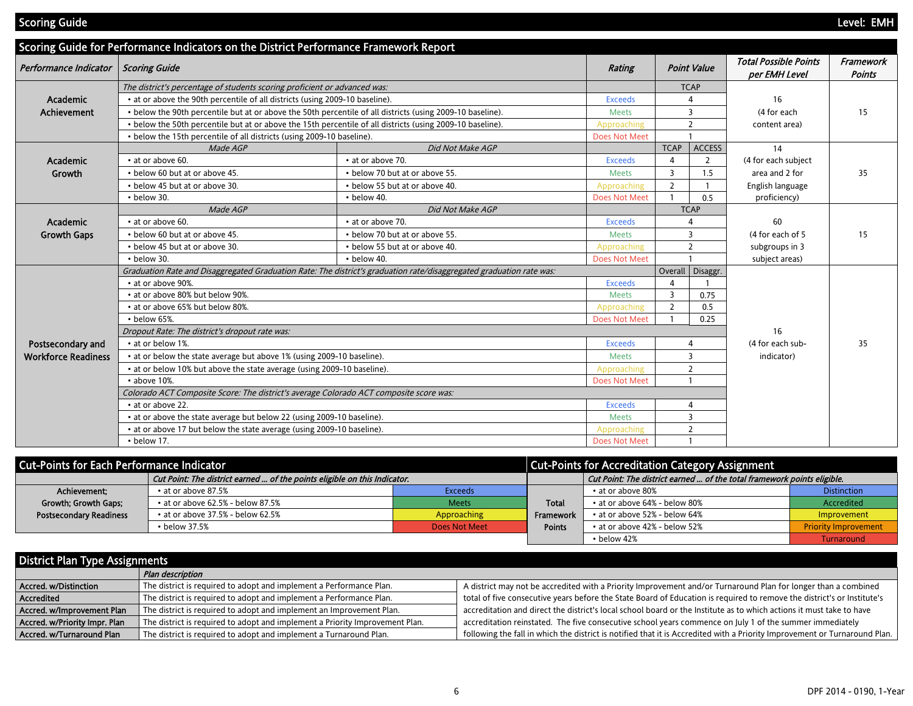Scoring Guide - Present Present Present Present Present Present Present Present Present Present Present Present

|                            | Scoring Guide for Performance Indicators on the District Performance Framework Report  |                                                                                                                      |                      |                |                         |                                               |                            |
|----------------------------|----------------------------------------------------------------------------------------|----------------------------------------------------------------------------------------------------------------------|----------------------|----------------|-------------------------|-----------------------------------------------|----------------------------|
| Performance Indicator      | <b>Scoring Guide</b>                                                                   |                                                                                                                      | Rating               |                | <b>Point Value</b>      | <b>Total Possible Points</b><br>per EMH Level | Framework<br><b>Points</b> |
|                            | The district's percentage of students scoring proficient or advanced was:              |                                                                                                                      |                      |                | <b>TCAP</b>             |                                               |                            |
| Academic                   | • at or above the 90th percentile of all districts (using 2009-10 baseline).           |                                                                                                                      | <b>Exceeds</b>       |                |                         | 16                                            |                            |
| <b>Achievement</b>         |                                                                                        | . below the 90th percentile but at or above the 50th percentile of all districts (using 2009-10 baseline).           | <b>Meets</b>         |                | 3                       | (4 for each                                   | 15                         |
|                            |                                                                                        | • below the 50th percentile but at or above the 15th percentile of all districts (using 2009-10 baseline).           | Approaching          |                | $\overline{2}$          | content area)                                 |                            |
|                            | • below the 15th percentile of all districts (using 2009-10 baseline).                 |                                                                                                                      | <b>Does Not Meet</b> |                |                         |                                               |                            |
|                            | Made AGP                                                                               | Did Not Make AGP                                                                                                     |                      | <b>TCAP</b>    | <b>ACCESS</b>           | 14                                            |                            |
| Academic                   | • at or above 60.                                                                      | • at or above 70.                                                                                                    | <b>Exceeds</b>       | 4              | 2                       | (4 for each subject                           |                            |
| Growth                     | • below 60 but at or above 45.                                                         | • below 70 but at or above 55.                                                                                       | Meets                | 3              | 1.5                     | area and 2 for                                | 35                         |
|                            | • below 45 but at or above 30.                                                         | • below 55 but at or above 40.                                                                                       | Approaching          | $\overline{2}$ |                         | English language                              |                            |
|                            | • below 30.                                                                            | • below 40.                                                                                                          | <b>Does Not Meet</b> |                | 0.5                     | proficiency)                                  |                            |
|                            | Made AGP                                                                               | Did Not Make AGP                                                                                                     |                      |                | <b>TCAP</b>             |                                               |                            |
| <b>Academic</b>            | • at or above 60.                                                                      | • at or above 70.                                                                                                    | <b>Exceeds</b>       |                | 4                       | 60                                            |                            |
| <b>Growth Gaps</b>         | • below 60 but at or above 45.                                                         | • below 70 but at or above 55.                                                                                       | <b>Meets</b>         |                | 3                       | (4 for each of 5)                             | 15                         |
|                            | • below 45 but at or above 30.                                                         | • below 55 but at or above 40.                                                                                       | Approaching          | $\overline{2}$ |                         | subgroups in 3                                |                            |
|                            | • below 30.                                                                            | • below 40.                                                                                                          | <b>Does Not Meet</b> |                |                         | subject areas)                                |                            |
|                            |                                                                                        | Graduation Rate and Disaggregated Graduation Rate: The district's graduation rate/disaggregated graduation rate was: |                      |                | Overall Disaggr.        |                                               |                            |
|                            | • at or above 90%.                                                                     |                                                                                                                      | <b>Exceeds</b>       |                |                         |                                               |                            |
|                            | • at or above 80% but below 90%.                                                       |                                                                                                                      | Meets                | 3              | 0.75                    |                                               |                            |
|                            | • at or above 65% but below 80%.                                                       |                                                                                                                      | Approaching          | $\overline{2}$ | 0.5                     |                                               |                            |
|                            | • below 65%.                                                                           |                                                                                                                      | <b>Does Not Meet</b> |                | 0.25                    |                                               |                            |
|                            | Dropout Rate: The district's dropout rate was:                                         |                                                                                                                      |                      |                |                         | 16                                            |                            |
| Postsecondary and          | • at or below 1%.                                                                      |                                                                                                                      | <b>Exceeds</b>       |                | $\overline{A}$          | (4 for each sub-                              | 35                         |
| <b>Workforce Readiness</b> | • at or below the state average but above 1% (using 2009-10 baseline).                 |                                                                                                                      | <b>Meets</b>         |                | 3                       | indicator)                                    |                            |
|                            | • at or below 10% but above the state average (using 2009-10 baseline).                |                                                                                                                      | Approaching          |                | $\overline{2}$          |                                               |                            |
|                            | • above 10%.                                                                           |                                                                                                                      | <b>Does Not Meet</b> |                |                         |                                               |                            |
|                            | Colorado ACT Composite Score: The district's average Colorado ACT composite score was: |                                                                                                                      |                      |                |                         |                                               |                            |
|                            | • at or above 22.                                                                      |                                                                                                                      | <b>Exceeds</b>       |                | $\overline{4}$          |                                               |                            |
|                            | • at or above the state average but below 22 (using 2009-10 baseline).                 |                                                                                                                      | <b>Meets</b>         |                | $\overline{\mathbf{3}}$ |                                               |                            |
|                            | • at or above 17 but below the state average (using 2009-10 baseline).                 |                                                                                                                      | Approaching          |                | $\overline{2}$          |                                               |                            |
|                            | • below 17.                                                                            |                                                                                                                      | <b>Does Not Meet</b> |                |                         |                                               |                            |

| <b>Cut-Points for Each Performance Indicator</b>                          |                                         | <b>Cut-Points for Accreditation Category Assignment</b> |               |                                                                         |                             |  |
|---------------------------------------------------------------------------|-----------------------------------------|---------------------------------------------------------|---------------|-------------------------------------------------------------------------|-----------------------------|--|
| Cut Point: The district earned  of the points eligible on this Indicator. |                                         |                                                         |               | Cut Point: The district earned  of the total framework points eligible. |                             |  |
| Achievement:                                                              | $\cdot$ at or above 87.5%               | <b>Exceeds</b>                                          |               | $\cdot$ at or above 80%                                                 | <b>Distinction</b>          |  |
| Growth; Growth Gaps;                                                      | $\cdot$ at or above 62.5% - below 87.5% | <b>Meets</b>                                            | <b>Total</b>  | • at or above 64% - below 80%                                           | Accredited                  |  |
| <b>Postsecondary Readiness</b>                                            | $\cdot$ at or above 37.5% - below 62.5% | Approaching                                             | Framework     | • at or above 52% - below 64%                                           | Improvement                 |  |
|                                                                           | $\cdot$ below 37.5%                     | Does Not Meet                                           | <b>Points</b> | • at or above 42% - below 52%                                           | <b>Priority Improvement</b> |  |
|                                                                           |                                         |                                                         |               | $\cdot$ below 42%                                                       | Turnaround                  |  |

| <b>District Plan Type Assignments</b> |                                                                              |                                                                                                                            |
|---------------------------------------|------------------------------------------------------------------------------|----------------------------------------------------------------------------------------------------------------------------|
|                                       | Plan description                                                             |                                                                                                                            |
| Accred. w/Distinction                 | The district is required to adopt and implement a Performance Plan.          | A district may not be accredited with a Priority Improvement and/or Turnaround Plan for longer than a combined             |
| <b>Accredited</b>                     | The district is required to adopt and implement a Performance Plan.          | total of five consecutive years before the State Board of Education is required to remove the district's or Institute's    |
| Accred. w/Improvement Plan            | The district is required to adopt and implement an Improvement Plan.         | accreditation and direct the district's local school board or the Institute as to which actions it must take to have       |
| Accred. w/Priority Impr. Plan         | The district is required to adopt and implement a Priority Improvement Plan. | accreditation reinstated. The five consecutive school years commence on July 1 of the summer immediately                   |
| Accred. w/Turnaround Plan             | The district is required to adopt and implement a Turnaround Plan.           | following the fall in which the district is notified that it is Accredited with a Priority Improvement or Turnaround Plan. |